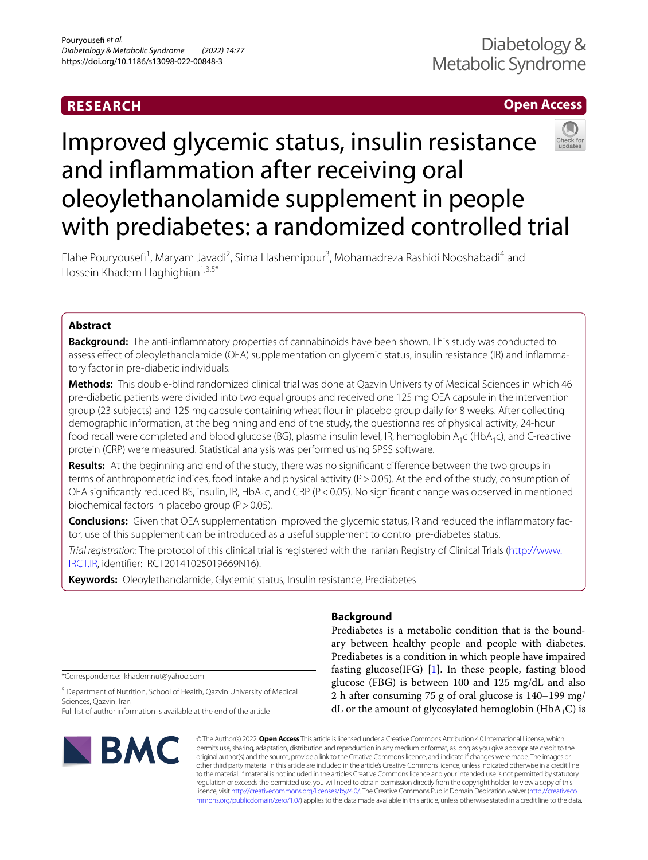## **RESEARCH**

## **Open Access**

# Improved glycemic status, insulin resistance and infammation after receiving oral oleoylethanolamide supplement in people with prediabetes: a randomized controlled trial

Elahe Pouryousefi<sup>1</sup>, Maryam Javadi<sup>2</sup>, Sima Hashemipour<sup>3</sup>, Mohamadreza Rashidi Nooshabadi<sup>4</sup> and Hossein Khadem Haghighian<sup>1,3,5\*</sup>

## **Abstract**

**Background:** The anti-infammatory properties of cannabinoids have been shown. This study was conducted to assess efect of oleoylethanolamide (OEA) supplementation on glycemic status, insulin resistance (IR) and infammatory factor in pre-diabetic individuals.

**Methods:** This double-blind randomized clinical trial was done at Qazvin University of Medical Sciences in which 46 pre-diabetic patients were divided into two equal groups and received one 125 mg OEA capsule in the intervention group (23 subjects) and 125 mg capsule containing wheat flour in placebo group daily for 8 weeks. After collecting demographic information, at the beginning and end of the study, the questionnaires of physical activity, 24-hour food recall were completed and blood glucose (BG), plasma insulin level, IR, hemoglobin A<sub>1</sub>c (HbA<sub>1</sub>c), and C-reactive protein (CRP) were measured. Statistical analysis was performed using SPSS software.

**Results:** At the beginning and end of the study, there was no signifcant diference between the two groups in terms of anthropometric indices, food intake and physical activity (P > 0.05). At the end of the study, consumption of OEA significantly reduced BS, insulin, IR, HbA<sub>1</sub>c, and CRP (P < 0.05). No significant change was observed in mentioned biochemical factors in placebo group ( $P > 0.05$ ).

**Conclusions:** Given that OEA supplementation improved the glycemic status, IR and reduced the infammatory factor, use of this supplement can be introduced as a useful supplement to control pre-diabetes status.

*Trial registration*: The protocol of this clinical trial is registered with the Iranian Registry of Clinical Trials ([http://www.](http://www.IRCT.IR) [IRCT.IR,](http://www.IRCT.IR) identifer: IRCT20141025019669N16).

**Keywords:** Oleoylethanolamide, Glycemic status, Insulin resistance, Prediabetes

## **Background**

Prediabetes is a metabolic condition that is the boundary between healthy people and people with diabetes. Prediabetes is a condition in which people have impaired fasting glucose(IFG) [\[1](#page-7-0)]. In these people, fasting blood glucose (FBG) is between 100 and 125 mg/dL and also 2 h after consuming 75 g of oral glucose is 140–199 mg/ dL or the amount of glycosylated hemoglobin ( $HbA_1C$ ) is

\*Correspondence: khademnut@yahoo.com

<sup>5</sup> Department of Nutrition, School of Health, Qazvin University of Medical Sciences, Qazvin, Iran

Full list of author information is available at the end of the article



© The Author(s) 2022. **Open Access** This article is licensed under a Creative Commons Attribution 4.0 International License, which permits use, sharing, adaptation, distribution and reproduction in any medium or format, as long as you give appropriate credit to the original author(s) and the source, provide a link to the Creative Commons licence, and indicate if changes were made. The images or other third party material in this article are included in the article's Creative Commons licence, unless indicated otherwise in a credit line to the material. If material is not included in the article's Creative Commons licence and your intended use is not permitted by statutory regulation or exceeds the permitted use, you will need to obtain permission directly from the copyright holder. To view a copy of this licence, visit [http://creativecommons.org/licenses/by/4.0/.](http://creativecommons.org/licenses/by/4.0/) The Creative Commons Public Domain Dedication waiver ([http://creativeco](http://creativecommons.org/publicdomain/zero/1.0/) [mmons.org/publicdomain/zero/1.0/](http://creativecommons.org/publicdomain/zero/1.0/)) applies to the data made available in this article, unless otherwise stated in a credit line to the data.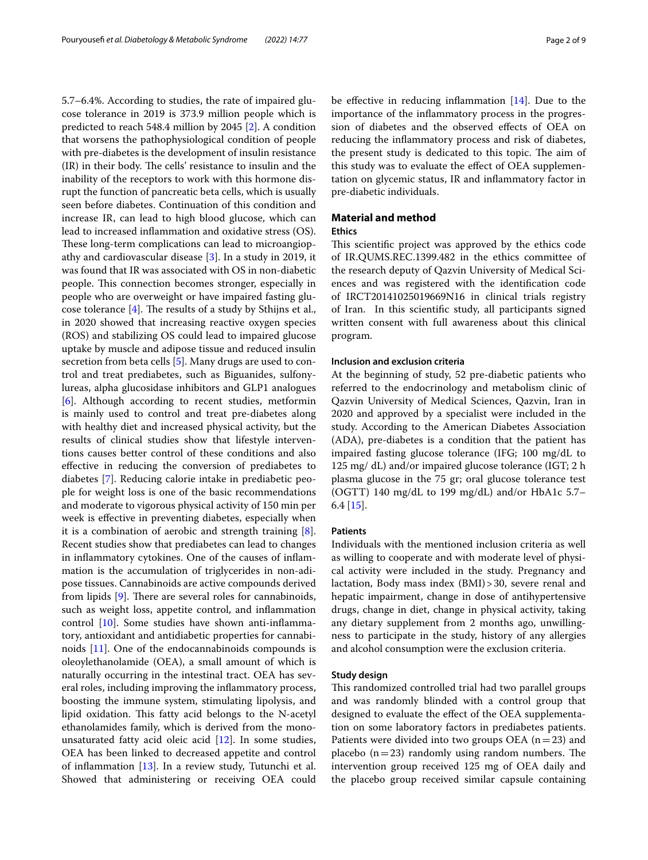5.7–6.4%. According to studies, the rate of impaired glucose tolerance in 2019 is 373.9 million people which is predicted to reach 548.4 million by 2045 [[2\]](#page-7-1). A condition that worsens the pathophysiological condition of people with pre-diabetes is the development of insulin resistance  $(IR)$  in their body. The cells' resistance to insulin and the inability of the receptors to work with this hormone disrupt the function of pancreatic beta cells, which is usually seen before diabetes. Continuation of this condition and increase IR, can lead to high blood glucose, which can lead to increased infammation and oxidative stress (OS). These long-term complications can lead to microangiopathy and cardiovascular disease [\[3](#page-7-2)]. In a study in 2019, it was found that IR was associated with OS in non-diabetic people. This connection becomes stronger, especially in people who are overweight or have impaired fasting glucose tolerance  $[4]$  $[4]$ . The results of a study by Sthijns et al., in 2020 showed that increasing reactive oxygen species (ROS) and stabilizing OS could lead to impaired glucose uptake by muscle and adipose tissue and reduced insulin secretion from beta cells [[5\]](#page-7-4). Many drugs are used to control and treat prediabetes, such as Biguanides, sulfonylureas, alpha glucosidase inhibitors and GLP1 analogues [[6\]](#page-7-5). Although according to recent studies, metformin is mainly used to control and treat pre-diabetes along with healthy diet and increased physical activity, but the results of clinical studies show that lifestyle interventions causes better control of these conditions and also efective in reducing the conversion of prediabetes to diabetes [[7\]](#page-7-6). Reducing calorie intake in prediabetic people for weight loss is one of the basic recommendations and moderate to vigorous physical activity of 150 min per week is efective in preventing diabetes, especially when it is a combination of aerobic and strength training [\[8](#page-7-7)]. Recent studies show that prediabetes can lead to changes in infammatory cytokines. One of the causes of infammation is the accumulation of triglycerides in non-adipose tissues. Cannabinoids are active compounds derived from lipids  $[9]$  $[9]$  $[9]$ . There are several roles for cannabinoids, such as weight loss, appetite control, and infammation control [[10\]](#page-7-9). Some studies have shown anti-infammatory, antioxidant and antidiabetic properties for cannabinoids [[11\]](#page-7-10). One of the endocannabinoids compounds is oleoylethanolamide (OEA), a small amount of which is naturally occurring in the intestinal tract. OEA has several roles, including improving the infammatory process, boosting the immune system, stimulating lipolysis, and lipid oxidation. This fatty acid belongs to the N-acetyl ethanolamides family, which is derived from the monounsaturated fatty acid oleic acid [\[12\]](#page-7-11). In some studies, OEA has been linked to decreased appetite and control of infammation [[13\]](#page-7-12). In a review study, Tutunchi et al. Showed that administering or receiving OEA could be effective in reducing inflammation  $[14]$  $[14]$ . Due to the importance of the infammatory process in the progression of diabetes and the observed efects of OEA on reducing the infammatory process and risk of diabetes, the present study is dedicated to this topic. The aim of this study was to evaluate the efect of OEA supplementation on glycemic status, IR and infammatory factor in pre-diabetic individuals.

### **Material and method**

#### **Ethics**

This scientific project was approved by the ethics code of IR.QUMS.REC.1399.482 in the ethics committee of the research deputy of Qazvin University of Medical Sciences and was registered with the identifcation code of IRCT20141025019669N16 in clinical trials registry of Iran. In this scientifc study, all participants signed written consent with full awareness about this clinical program.

#### **Inclusion and exclusion criteria**

At the beginning of study, 52 pre-diabetic patients who referred to the endocrinology and metabolism clinic of Qazvin University of Medical Sciences, Qazvin, Iran in 2020 and approved by a specialist were included in the study. According to the American Diabetes Association (ADA), pre-diabetes is a condition that the patient has impaired fasting glucose tolerance (IFG; 100 mg/dL to 125 mg/ dL) and/or impaired glucose tolerance (IGT; 2 h plasma glucose in the 75 gr; oral glucose tolerance test (OGTT) 140 mg/dL to 199 mg/dL) and/or HbA1c 5.7– 6.4 [\[15](#page-7-14)].

#### **Patients**

Individuals with the mentioned inclusion criteria as well as willing to cooperate and with moderate level of physical activity were included in the study. Pregnancy and lactation, Body mass index (BMI)>30, severe renal and hepatic impairment, change in dose of antihypertensive drugs, change in diet, change in physical activity, taking any dietary supplement from 2 months ago, unwillingness to participate in the study, history of any allergies and alcohol consumption were the exclusion criteria.

#### **Study design**

This randomized controlled trial had two parallel groups and was randomly blinded with a control group that designed to evaluate the efect of the OEA supplementation on some laboratory factors in prediabetes patients. Patients were divided into two groups OEA  $(n=23)$  and placebo  $(n=23)$  randomly using random numbers. The intervention group received 125 mg of OEA daily and the placebo group received similar capsule containing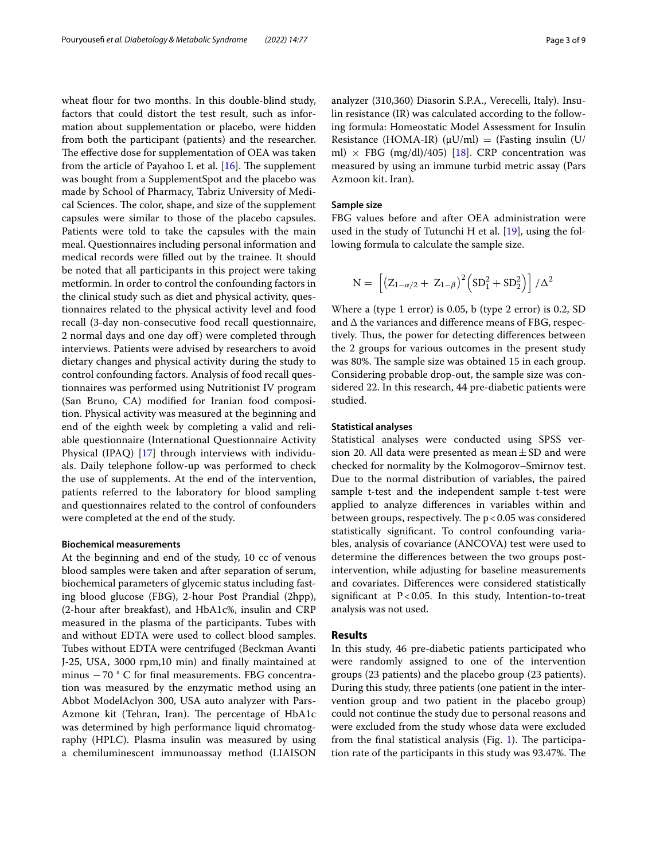wheat flour for two months. In this double-blind study, factors that could distort the test result, such as information about supplementation or placebo, were hidden from both the participant (patients) and the researcher. The effective dose for supplementation of OEA was taken from the article of Payahoo L et al.  $[16]$  $[16]$ . The supplement was bought from a SupplementSpot and the placebo was made by School of Pharmacy, Tabriz University of Medical Sciences. The color, shape, and size of the supplement capsules were similar to those of the placebo capsules. Patients were told to take the capsules with the main meal. Questionnaires including personal information and medical records were flled out by the trainee. It should be noted that all participants in this project were taking metformin. In order to control the confounding factors in the clinical study such as diet and physical activity, questionnaires related to the physical activity level and food recall (3-day non-consecutive food recall questionnaire, 2 normal days and one day off) were completed through interviews. Patients were advised by researchers to avoid dietary changes and physical activity during the study to control confounding factors. Analysis of food recall questionnaires was performed using Nutritionist IV program (San Bruno, CA) modifed for Iranian food composition. Physical activity was measured at the beginning and end of the eighth week by completing a valid and reliable questionnaire (International Questionnaire Activity Physical (IPAQ) [\[17](#page-7-16)] through interviews with individuals. Daily telephone follow-up was performed to check the use of supplements. At the end of the intervention, patients referred to the laboratory for blood sampling and questionnaires related to the control of confounders were completed at the end of the study.

#### **Biochemical measurements**

At the beginning and end of the study, 10 cc of venous blood samples were taken and after separation of serum, biochemical parameters of glycemic status including fasting blood glucose (FBG), 2-hour Post Prandial (2hpp), (2-hour after breakfast), and HbA1c%, insulin and CRP measured in the plasma of the participants. Tubes with and without EDTA were used to collect blood samples. Tubes without EDTA were centrifuged (Beckman Avanti J-25, USA, 3000 rpm,10 min) and fnally maintained at minus −70 ° C for fnal measurements. FBG concentration was measured by the enzymatic method using an Abbot ModelAclyon 300, USA auto analyzer with Pars-Azmone kit (Tehran, Iran). The percentage of HbA1c was determined by high performance liquid chromatography (HPLC). Plasma insulin was measured by using a chemiluminescent immunoassay method (LIAISON analyzer (310,360) Diasorin S.P.A., Verecelli, Italy). Insulin resistance (IR) was calculated according to the following formula: Homeostatic Model Assessment for Insulin Resistance (HOMA-IR) ( $\mu$ U/ml) = (Fasting insulin (U/ ml)  $\times$  FBG (mg/dl)/405) [[18](#page-7-17)]. CRP concentration was measured by using an immune turbid metric assay (Pars Azmoon kit. Iran).

#### **Sample size**

FBG values before and after OEA administration were used in the study of Tutunchi H et al. [[19](#page-7-18)], using the following formula to calculate the sample size.

$$
N = \left[ \left( Z_{1 - \alpha/2} + Z_{1 - \beta} \right)^2 \left( SD_1^2 + SD_2^2 \right) \right] / \Delta^2
$$

Where a (type 1 error) is 0.05, b (type 2 error) is 0.2, SD and ∆ the variances and diference means of FBG, respectively. Thus, the power for detecting differences between the 2 groups for various outcomes in the present study was 80%. The sample size was obtained 15 in each group. Considering probable drop-out, the sample size was considered 22. In this research, 44 pre-diabetic patients were studied.

#### **Statistical analyses**

Statistical analyses were conducted using SPSS version 20. All data were presented as mean  $\pm$  SD and were checked for normality by the Kolmogorov–Smirnov test. Due to the normal distribution of variables, the paired sample t-test and the independent sample t-test were applied to analyze diferences in variables within and between groups, respectively. The  $p < 0.05$  was considered statistically signifcant. To control confounding variables, analysis of covariance (ANCOVA) test were used to determine the diferences between the two groups postintervention, while adjusting for baseline measurements and covariates. Diferences were considered statistically significant at  $P < 0.05$ . In this study, Intention-to-treat analysis was not used.

#### **Results**

In this study, 46 pre-diabetic patients participated who were randomly assigned to one of the intervention groups (23 patients) and the placebo group (23 patients). During this study, three patients (one patient in the intervention group and two patient in the placebo group) could not continue the study due to personal reasons and were excluded from the study whose data were excluded from the final statistical analysis (Fig.  $1$ ). The participation rate of the participants in this study was 93.47%. The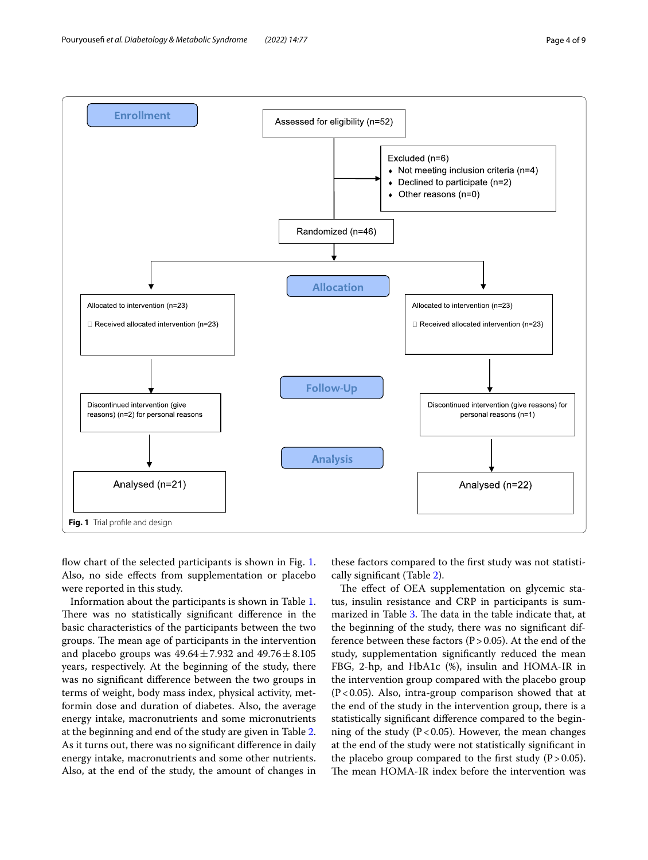

<span id="page-3-0"></span>flow chart of the selected participants is shown in Fig. [1](#page-3-0). Also, no side efects from supplementation or placebo were reported in this study.

Information about the participants is shown in Table [1](#page-4-0). There was no statistically significant difference in the basic characteristics of the participants between the two groups. The mean age of participants in the intervention and placebo groups was  $49.64 \pm 7.932$  and  $49.76 \pm 8.105$ years, respectively. At the beginning of the study, there was no signifcant diference between the two groups in terms of weight, body mass index, physical activity, metformin dose and duration of diabetes. Also, the average energy intake, macronutrients and some micronutrients at the beginning and end of the study are given in Table [2](#page-4-1). As it turns out, there was no signifcant diference in daily energy intake, macronutrients and some other nutrients. Also, at the end of the study, the amount of changes in

these factors compared to the frst study was not statistically signifcant (Table [2](#page-4-1)).

The effect of OEA supplementation on glycemic status, insulin resistance and CRP in participants is sum-marized in Table [3.](#page-5-0) The data in the table indicate that, at the beginning of the study, there was no signifcant difference between these factors ( $P > 0.05$ ). At the end of the study, supplementation signifcantly reduced the mean FBG, 2-hp, and HbA1c (%), insulin and HOMA-IR in the intervention group compared with the placebo group  $(P<0.05)$ . Also, intra-group comparison showed that at the end of the study in the intervention group, there is a statistically signifcant diference compared to the beginning of the study ( $P < 0.05$ ). However, the mean changes at the end of the study were not statistically signifcant in the placebo group compared to the first study  $(P > 0.05)$ . The mean HOMA-IR index before the intervention was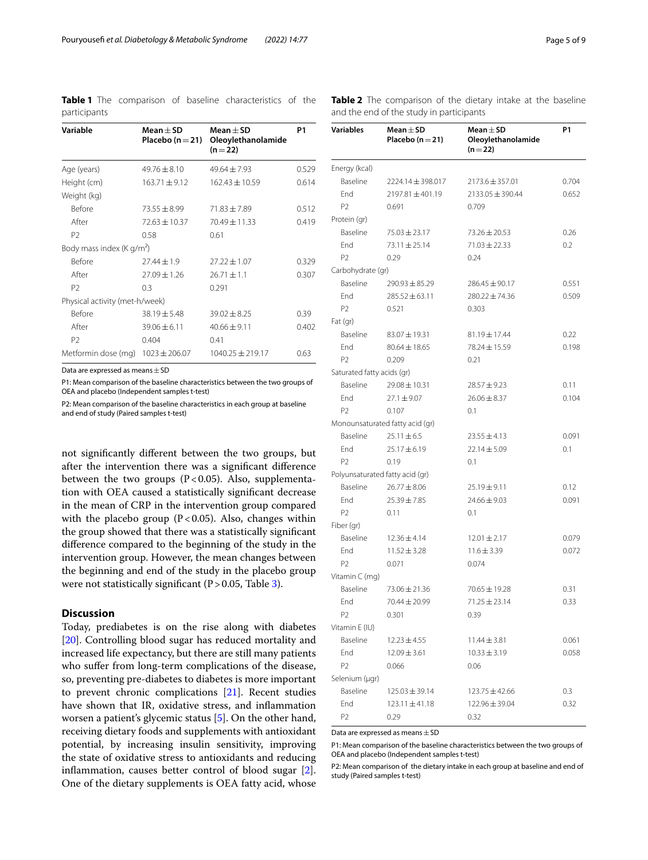<span id="page-4-0"></span>

|              |  | Table 1 The comparison of baseline characteristics of the |  |
|--------------|--|-----------------------------------------------------------|--|
| participants |  |                                                           |  |

| Variable                              | Mean $\pm$ SD<br>Placebo ( $n = 21$ ) | Mean $\pm$ SD<br>Oleoylethanolamide<br>$(n=22)$ | P1    |
|---------------------------------------|---------------------------------------|-------------------------------------------------|-------|
| Age (years)                           | $49.76 \pm 8.10$                      | $49.64 + 7.93$                                  | 0.529 |
| Height (cm)                           | $163.71 \pm 9.12$                     | $162.43 \pm 10.59$                              | 0.614 |
| Weight (kg)                           |                                       |                                                 |       |
| <b>Before</b>                         | $73.55 \pm 8.99$                      | $71.83 \pm 7.89$                                | 0.512 |
| After                                 | $72.63 \pm 10.37$                     | $70.49 \pm 11.33$                               | 0.419 |
| P <sub>2</sub>                        | 0.58                                  | 0.61                                            |       |
| Body mass index (K g/m <sup>2</sup> ) |                                       |                                                 |       |
| <b>Before</b>                         | $77.44 + 1.9$                         | $27.22 \pm 1.07$                                | 0.329 |
| After                                 | $27.09 + 1.26$                        | $26.71 \pm 1.1$                                 | 0.307 |
| P <sub>2</sub>                        | 0.3                                   | 0.291                                           |       |
| Physical activity (met-h/week)        |                                       |                                                 |       |
| <b>Before</b>                         | $38.19 \pm 5.48$                      | $39.02 \pm 8.25$                                | 0.39  |
| After                                 | $39.06 \pm 6.11$                      | $40.66 \pm 9.11$                                | 0.402 |
| P2                                    | 0.404                                 | 0.41                                            |       |
| Metformin dose (mg)                   | $1023 \pm 206.07$                     | $1040.25 \pm 219.17$                            | 0.63  |
|                                       |                                       |                                                 |       |

Data are expressed as means  $\pm$  SD

P1: Mean comparison of the baseline characteristics between the two groups of OEA and placebo (Independent samples t-test)

P2: Mean comparison of the baseline characteristics in each group at baseline and end of study (Paired samples t-test)

not signifcantly diferent between the two groups, but after the intervention there was a signifcant diference between the two groups ( $P < 0.05$ ). Also, supplementation with OEA caused a statistically signifcant decrease in the mean of CRP in the intervention group compared with the placebo group  $(P<0.05)$ . Also, changes within the group showed that there was a statistically signifcant diference compared to the beginning of the study in the intervention group. However, the mean changes between the beginning and end of the study in the placebo group were not statistically significant  $(P>0.05,$  Table [3\)](#page-5-0).

#### **Discussion**

Today, prediabetes is on the rise along with diabetes [[20\]](#page-7-19). Controlling blood sugar has reduced mortality and increased life expectancy, but there are still many patients who sufer from long-term complications of the disease, so, preventing pre-diabetes to diabetes is more important to prevent chronic complications [\[21](#page-7-20)]. Recent studies have shown that IR, oxidative stress, and infammation worsen a patient's glycemic status [[5\]](#page-7-4). On the other hand, receiving dietary foods and supplements with antioxidant potential, by increasing insulin sensitivity, improving the state of oxidative stress to antioxidants and reducing infammation, causes better control of blood sugar [\[2](#page-7-1)]. One of the dietary supplements is OEA fatty acid, whose

<span id="page-4-1"></span>

|  | Table 2 The comparison of the dietary intake at the baseline |  |  |  |  |
|--|--------------------------------------------------------------|--|--|--|--|
|  | and the end of the study in participants                     |  |  |  |  |

| Variables                  | Mean $\pm$ SD<br>Placebo $(n=21)$ | Mean $\pm$ SD<br>Oleoylethanolamide<br>$(n=22)$ | <b>P1</b> |
|----------------------------|-----------------------------------|-------------------------------------------------|-----------|
| Energy (kcal)              |                                   |                                                 |           |
| Baseline                   | 2224.14±398.017                   | $2173.6 \pm 357.01$                             | 0.704     |
| End                        | 2197.81±401.19                    | 2133.05 ± 390.44                                | 0.652     |
| P <sub>2</sub>             | 0.691                             | 0.709                                           |           |
| Protein (gr)               |                                   |                                                 |           |
| Baseline                   | $75.03 \pm 23.17$                 | 73.26 ± 20.53                                   | 0.26      |
| End                        | 73.11 ± 25.14                     | $71.03 \pm 22.33$                               | 0.2       |
| P <sub>2</sub>             | 0.29                              | 0.24                                            |           |
| Carbohydrate (gr)          |                                   |                                                 |           |
| Baseline                   | $290.93 \pm 85.29$                | $286.45 \pm 90.17$                              | 0.551     |
| <b>Fnd</b>                 | $285.52 \pm 63.11$                | $280.22 \pm 74.36$                              | 0.509     |
| P <sub>2</sub>             | 0.521                             | 0.303                                           |           |
| Fat (gr)                   |                                   |                                                 |           |
| Baseline                   | 83.07 ± 19.31                     | 81.19±17.44                                     | 0.22      |
| End                        | 80.64 ± 18.65                     | $78.24 + 15.59$                                 | 0.198     |
| P <sub>2</sub>             | 0.209                             | 0.21                                            |           |
| Saturated fatty acids (gr) |                                   |                                                 |           |
| Baseline                   | 29.08 ± 10.31                     | 28.57±9.23                                      | 0.11      |
| End                        | $27.1 \pm 9.07$                   | $26.06 \pm 8.37$                                | 0.104     |
| P <sub>2</sub>             | 0.107                             | 0.1                                             |           |
|                            | Monounsaturated fatty acid (gr)   |                                                 |           |
| Baseline                   | $25.11 \pm 6.5$                   | $23.55 \pm 4.13$                                | 0.091     |
| End                        | 25.17±6.19                        | $22.14 \pm 5.09$                                | 0.1       |
| P <sub>2</sub>             | 0.19                              | 0.1                                             |           |
|                            | Polyunsaturated fatty acid (gr)   |                                                 |           |
| Baseline                   | $26.77 \pm 8.06$                  | $25.19 \pm 9.11$                                | 0.12      |
| End                        | $25.39 \pm 7.85$                  | $24.66 \pm 9.03$                                | 0.091     |
| P <sub>2</sub>             | 0.11                              | 0.1                                             |           |
| Fiber (gr)                 |                                   |                                                 |           |
| Baseline                   | $12.36 \pm 4.14$                  | $12.01 \pm 2.17$                                | 0.079     |
| Fnd                        | $11.52 \pm 3.28$                  | $11.6 \pm 3.39$                                 | 0.072     |
| P <sub>2</sub>             | 0.071                             | 0.074                                           |           |
| Vitamin C (mg)             |                                   |                                                 |           |
| Baseline                   | 73.06 ± 21.36                     | 70.65 ± 19.28                                   | 0.31      |
| Fnd                        | 70.44 ± 20.99                     | 71.25 ± 23.14                                   | 0.33      |
| Р2                         | 0.301                             | 0.39                                            |           |
| Vitamin E (IU)             |                                   |                                                 |           |
| Baseline                   | $12.23 \pm 4.55$                  | $11.44 \pm 3.81$                                | 0.061     |
| End                        | $12.09 \pm 3.61$                  | $10.33 \pm 3.19$                                | 0.058     |
| P2                         | 0.066                             | 0.06                                            |           |
| Selenium (µgr)             |                                   |                                                 |           |
| Baseline                   | $125.03 \pm 39.14$                | $123.75 \pm 42.66$                              | 0.3       |
| End                        | $123.11 \pm 41.18$                | 122.96 ± 39.04                                  | 0.32      |
| P2                         | 0.29                              | 0.32                                            |           |

Data are expressed as means  $\pm$  SD

P1: Mean comparison of the baseline characteristics between the two groups of OEA and placebo (Independent samples t-test)

P2: Mean comparison of the dietary intake in each group at baseline and end of study (Paired samples t-test)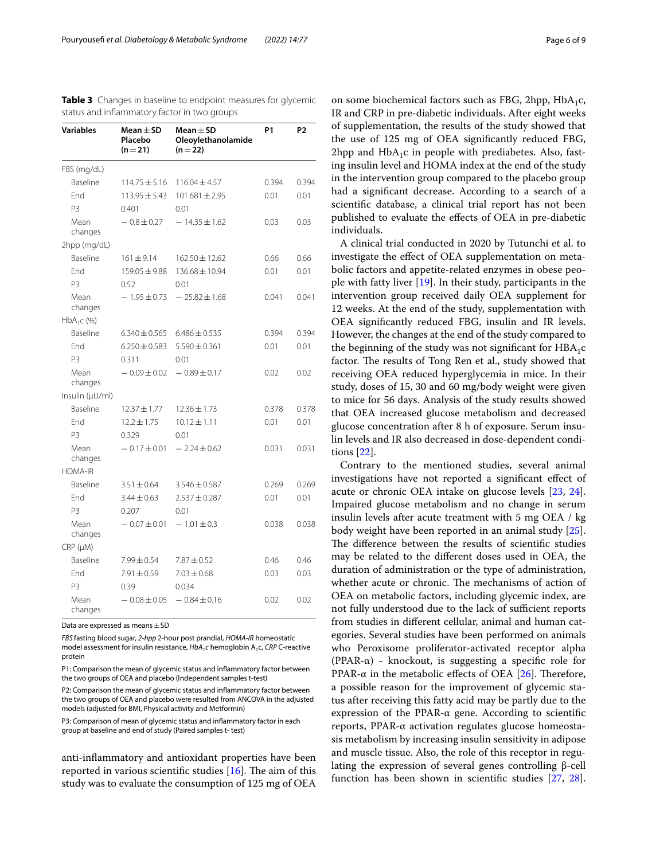<span id="page-5-0"></span>

| <b>Variables</b> | Mean $\pm$ SD<br>Placebo<br>$(n=21)$ | Mean $\pm$ SD<br>Oleoylethanolamide<br>$(n=22)$ | <b>P1</b> | P <sub>2</sub> |
|------------------|--------------------------------------|-------------------------------------------------|-----------|----------------|
| FBS (mg/dL)      |                                      |                                                 |           |                |
| Baseline         | $114.75 \pm 5.16$                    | $116.04 \pm 4.57$                               | 0.394     | 0.394          |
| End              | $113.95 \pm 5.43$                    | $101.681 \pm 2.95$                              | 0.01      | 0.01           |
| P <sub>3</sub>   | 0.401                                | 0.01                                            |           |                |
| Mean<br>changes  | $-0.8 \pm 0.27$                      | $-14.35 \pm 1.62$                               | 0.03      | 0.03           |
| 2hpp (mg/dL)     |                                      |                                                 |           |                |
| Baseline         | $161 \pm 9.14$                       | $162.50 \pm 12.62$                              | 0.66      | 0.66           |
| <b>Fnd</b>       | $159.05 \pm 9.88$                    | $136.68 \pm 10.94$                              | 0.01      | 0.01           |
| P3               | 0.52                                 | 0.01                                            |           |                |
| Mean<br>changes  | $-1.95 \pm 0.73$                     | $-25.82 \pm 1.68$                               | 0.041     | 0.041          |
| $HbA_1C$ (%)     |                                      |                                                 |           |                |
| Baseline         | $6.340 \pm 0.565$                    | $6.486 \pm 0.535$                               | 0.394     | 0.394          |
| <b>Fnd</b>       | $6.250 \pm 0.583$                    | $5.590 \pm 0.361$                               | 0.01      | 0.01           |
| P <sub>3</sub>   | 0.311                                | 0.01                                            |           |                |
| Mean<br>changes  | $-0.09 \pm 0.02$                     | $-0.89 \pm 0.17$                                | 0.02      | 0.02           |
| Insulin (µU/ml)  |                                      |                                                 |           |                |
| Baseline         | $12.37 \pm 1.77$                     | $12.36 \pm 1.73$                                | 0.378     | 0.378          |
| End              | $12.2 \pm 1.75$                      | $10.12 \pm 1.11$                                | 0.01      | 0.01           |
| P <sub>3</sub>   | 0.329                                | 0.01                                            |           |                |
| Mean<br>changes  | $-0.17 \pm 0.01$                     | $-2.24 \pm 0.62$                                | 0.031     | 0.031          |
| <b>HOMA-IR</b>   |                                      |                                                 |           |                |
| Baseline         | $3.51 \pm 0.64$                      | $3.546 \pm 0.587$                               | 0.269     | 0.269          |
| Fnd              | $3.44 \pm 0.63$                      | $2.537 \pm 0.287$                               | 0.01      | 0.01           |
| P3               | 0.207                                | 0.01                                            |           |                |
| Mean<br>changes  | $-0.07 \pm 0.01$                     | $-1.01 \pm 0.3$                                 | 0.038     | 0.038          |
| $CRP$ ( $\mu$ M) |                                      |                                                 |           |                |
| Baseline         | $7.99 \pm 0.54$                      | $7.87 \pm 0.52$                                 | 0.46      | 0.46           |
| End              | $7.91 \pm 0.59$                      | $7.03 \pm 0.68$                                 | 0.03      | 0.03           |
| P <sub>3</sub>   | 0.39                                 | 0.034                                           |           |                |
| Mean<br>changes  | $-0.08 \pm 0.05$                     | $-0.84 \pm 0.16$                                | 0.02      | 0.02           |

Data are expressed as means  $\pm$  SD

*FBS* fasting blood sugar, *2-hpp* 2-hour post prandial, *HOMA-IR* homeostatic

model assessment for insulin resistance,  $HbA_1c$  hemoglobin A<sub>1</sub>c, *CRP* C-reactive protein

P1: Comparison the mean of glycemic status and infammatory factor between the two groups of OEA and placebo (Independent samples t-test)

P2: Comparison the mean of glycemic status and infammatory factor between the two groups of OEA and placebo were resulted from ANCOVA in the adjusted models (adjusted for BMI, Physical activity and Metformin)

P3: Comparison of mean of glycemic status and infammatory factor in each group at baseline and end of study (Paired samples t- test)

anti-infammatory and antioxidant properties have been reported in various scientific studies  $[16]$  $[16]$ . The aim of this study was to evaluate the consumption of 125 mg of OEA

on some biochemical factors such as FBG, 2hpp,  $HbA_1c$ , IR and CRP in pre-diabetic individuals. After eight weeks of supplementation, the results of the study showed that the use of 125 mg of OEA signifcantly reduced FBG, 2hpp and  $HbA_1c$  in people with prediabetes. Also, fasting insulin level and HOMA index at the end of the study in the intervention group compared to the placebo group had a signifcant decrease. According to a search of a scientifc database, a clinical trial report has not been published to evaluate the efects of OEA in pre-diabetic individuals.

A clinical trial conducted in 2020 by Tutunchi et al. to investigate the efect of OEA supplementation on metabolic factors and appetite-related enzymes in obese people with fatty liver [\[19](#page-7-18)]. In their study, participants in the intervention group received daily OEA supplement for 12 weeks. At the end of the study, supplementation with OEA signifcantly reduced FBG, insulin and IR levels. However, the changes at the end of the study compared to the beginning of the study was not significant for  $HBA_1c$ factor. The results of Tong Ren et al., study showed that receiving OEA reduced hyperglycemia in mice. In their study, doses of 15, 30 and 60 mg/body weight were given to mice for 56 days. Analysis of the study results showed that OEA increased glucose metabolism and decreased glucose concentration after 8 h of exposure. Serum insulin levels and IR also decreased in dose-dependent conditions [[22](#page-7-21)].

Contrary to the mentioned studies, several animal investigations have not reported a signifcant efect of acute or chronic OEA intake on glucose levels [[23,](#page-7-22) [24](#page-7-23)]. Impaired glucose metabolism and no change in serum insulin levels after acute treatment with 5 mg OEA / kg body weight have been reported in an animal study [\[25](#page-7-24)]. The difference between the results of scientific studies may be related to the diferent doses used in OEA, the duration of administration or the type of administration, whether acute or chronic. The mechanisms of action of OEA on metabolic factors, including glycemic index, are not fully understood due to the lack of sufficient reports from studies in diferent cellular, animal and human categories. Several studies have been performed on animals who Peroxisome proliferator-activated receptor alpha (PPAR- $\alpha$ ) - knockout, is suggesting a specific role for PPAR- $\alpha$  in the metabolic effects of OEA [\[26](#page-7-25)]. Therefore, a possible reason for the improvement of glycemic status after receiving this fatty acid may be partly due to the expression of the PPAR-α gene. According to scientifc reports, PPAR-α activation regulates glucose homeostasis metabolism by increasing insulin sensitivity in adipose and muscle tissue. Also, the role of this receptor in regulating the expression of several genes controlling β-cell function has been shown in scientifc studies [[27,](#page-7-26) [28](#page-7-27)].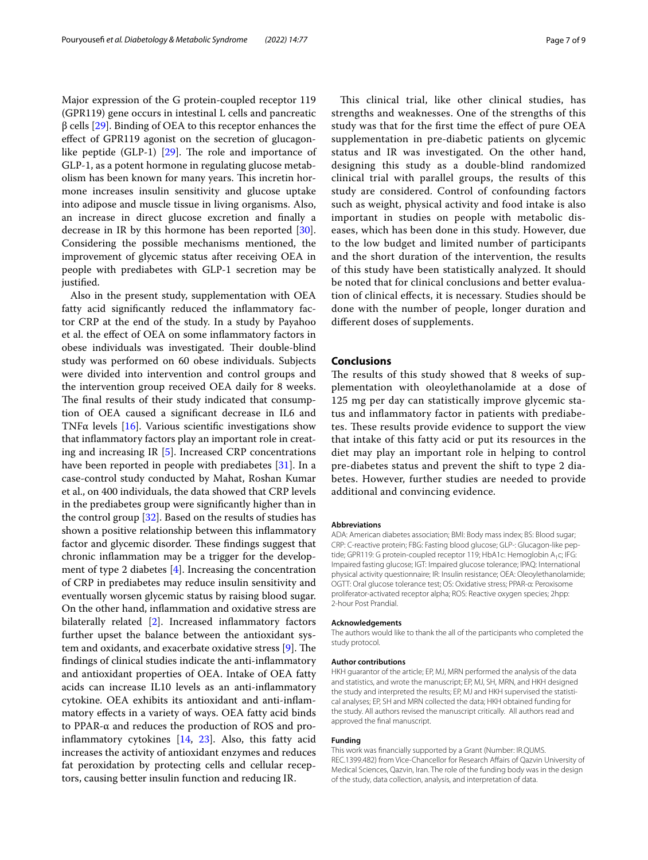Major expression of the G protein-coupled receptor 119 (GPR119) gene occurs in intestinal L cells and pancreatic β cells [\[29](#page-7-28)]. Binding of OEA to this receptor enhances the efect of GPR119 agonist on the secretion of glucagonlike peptide (GLP-1)  $[29]$  $[29]$  $[29]$ . The role and importance of GLP-1, as a potent hormone in regulating glucose metabolism has been known for many years. This incretin hormone increases insulin sensitivity and glucose uptake into adipose and muscle tissue in living organisms. Also, an increase in direct glucose excretion and fnally a decrease in IR by this hormone has been reported [\[30](#page-8-0)]. Considering the possible mechanisms mentioned, the improvement of glycemic status after receiving OEA in people with prediabetes with GLP-1 secretion may be justifed.

Also in the present study, supplementation with OEA fatty acid significantly reduced the inflammatory factor CRP at the end of the study. In a study by Payahoo et al. the efect of OEA on some infammatory factors in obese individuals was investigated. Their double-blind study was performed on 60 obese individuals. Subjects were divided into intervention and control groups and the intervention group received OEA daily for 8 weeks. The final results of their study indicated that consumption of OEA caused a signifcant decrease in IL6 and TNF $\alpha$  levels [[16\]](#page-7-15). Various scientific investigations show that infammatory factors play an important role in creating and increasing IR [[5\]](#page-7-4). Increased CRP concentrations have been reported in people with prediabetes [\[31\]](#page-8-1). In a case-control study conducted by Mahat, Roshan Kumar et al., on 400 individuals, the data showed that CRP levels in the prediabetes group were signifcantly higher than in the control group [[32](#page-8-2)]. Based on the results of studies has shown a positive relationship between this infammatory factor and glycemic disorder. These findings suggest that chronic infammation may be a trigger for the development of type 2 diabetes [\[4](#page-7-3)]. Increasing the concentration of CRP in prediabetes may reduce insulin sensitivity and eventually worsen glycemic status by raising blood sugar. On the other hand, infammation and oxidative stress are bilaterally related [[2\]](#page-7-1). Increased inflammatory factors further upset the balance between the antioxidant system and oxidants, and exacerbate oxidative stress  $[9]$  $[9]$  $[9]$ . The fndings of clinical studies indicate the anti-infammatory and antioxidant properties of OEA. Intake of OEA fatty acids can increase IL10 levels as an anti-infammatory cytokine. OEA exhibits its antioxidant and anti-infammatory efects in a variety of ways. OEA fatty acid binds to PPAR-α and reduces the production of ROS and proinfammatory cytokines [\[14](#page-7-13), [23\]](#page-7-22). Also, this fatty acid increases the activity of antioxidant enzymes and reduces fat peroxidation by protecting cells and cellular receptors, causing better insulin function and reducing IR.

This clinical trial, like other clinical studies, has strengths and weaknesses. One of the strengths of this study was that for the frst time the efect of pure OEA supplementation in pre-diabetic patients on glycemic status and IR was investigated. On the other hand, designing this study as a double-blind randomized clinical trial with parallel groups, the results of this study are considered. Control of confounding factors such as weight, physical activity and food intake is also important in studies on people with metabolic diseases, which has been done in this study. However, due to the low budget and limited number of participants and the short duration of the intervention, the results of this study have been statistically analyzed. It should be noted that for clinical conclusions and better evaluation of clinical efects, it is necessary. Studies should be done with the number of people, longer duration and diferent doses of supplements.

#### **Conclusions**

The results of this study showed that 8 weeks of supplementation with oleoylethanolamide at a dose of 125 mg per day can statistically improve glycemic status and infammatory factor in patients with prediabetes. These results provide evidence to support the view that intake of this fatty acid or put its resources in the diet may play an important role in helping to control pre-diabetes status and prevent the shift to type 2 diabetes. However, further studies are needed to provide additional and convincing evidence.

#### **Abbreviations**

ADA: American diabetes association; BMI: Body mass index; BS: Blood sugar; CRP: C-reactive protein; FBG: Fasting blood glucose; GLP-: Glucagon-like peptide; GPR119: G protein-coupled receptor 119; HbA1c: Hemoglobin A<sub>1</sub>c; IFG: Impaired fasting glucose; IGT: Impaired glucose tolerance; IPAQ: International physical activity questionnaire; IR: Insulin resistance; OEA: Oleoylethanolamide; OGTT: Oral glucose tolerance test; OS: Oxidative stress; PPAR-α: Peroxisome proliferator-activated receptor alpha; ROS: Reactive oxygen species; 2hpp: 2-hour Post Prandial.

#### **Acknowledgements**

The authors would like to thank the all of the participants who completed the study protocol.

#### **Author contributions**

HKH guarantor of the article; EP, MJ, MRN performed the analysis of the data and statistics, and wrote the manuscript; EP, MJ, SH, MRN, and HKH designed the study and interpreted the results; EP, MJ and HKH supervised the statistical analyses; EP, SH and MRN collected the data; HKH obtained funding for the study. All authors revised the manuscript critically. All authors read and approved the fnal manuscript.

#### **Funding**

This work was fnancially supported by a Grant (Number: IR.QUMS. REC.1399.482) from Vice-Chancellor for Research Afairs of Qazvin University of Medical Sciences, Qazvin, Iran. The role of the funding body was in the design of the study, data collection, analysis, and interpretation of data.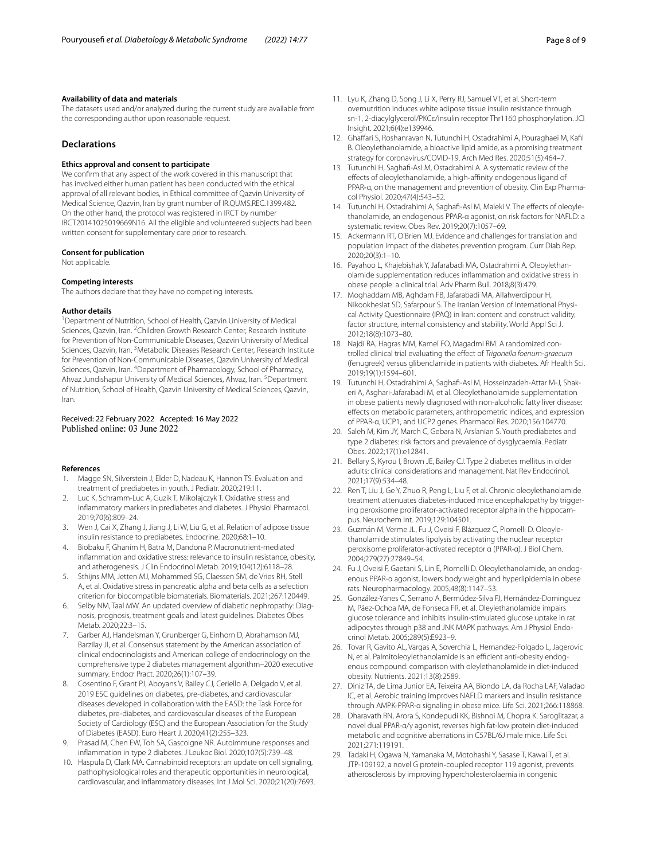#### **Availability of data and materials**

The datasets used and/or analyzed during the current study are available from the corresponding author upon reasonable request.

#### **Declarations**

#### **Ethics approval and consent to participate**

We confrm that any aspect of the work covered in this manuscript that has involved either human patient has been conducted with the ethical approval of all relevant bodies, in Ethical committee of Qazvin University of Medical Science, Qazvin, Iran by grant number of IR.QUMS.REC.1399.482. On the other hand, the protocol was registered in IRCT by number IRCT20141025019669N16. All the eligible and volunteered subjects had been written consent for supplementary care prior to research.

#### **Consent for publication**

Not applicable.

#### **Competing interests**

The authors declare that they have no competing interests.

#### **Author details**

<sup>1</sup> Department of Nutrition, School of Health, Qazvin University of Medical Sciences, Qazvin, Iran. <sup>2</sup>Children Growth Research Center, Research Institute for Prevention of Non-Communicable Diseases, Qazvin University of Medical Sciences, Qazvin, Iran. <sup>3</sup> Metabolic Diseases Research Center, Research Institute for Prevention of Non-Communicable Diseases, Qazvin University of Medical Sciences, Qazvin, Iran. <sup>4</sup>Department of Pharmacology, School of Pharmacy, Ahvaz Jundishapur University of Medical Sciences, Ahvaz, Iran. <sup>5</sup>Department of Nutrition, School of Health, Qazvin University of Medical Sciences, Qazvin, Iran.

#### Received: 22 February 2022 Accepted: 16 May 2022 Published online: 03 June 2022

#### **References**

- <span id="page-7-0"></span>Magge SN, Silverstein J, Elder D, Nadeau K, Hannon TS. Evaluation and treatment of prediabetes in youth. J Pediatr. 2020;219:11.
- <span id="page-7-1"></span>2. Luc K, Schramm-Luc A, Guzik T, Mikolajczyk T. Oxidative stress and infammatory markers in prediabetes and diabetes. J Physiol Pharmacol. 2019;70(6):809–24.
- <span id="page-7-2"></span>3. Wen J, Cai X, Zhang J, Jiang J, Li W, Liu G, et al. Relation of adipose tissue insulin resistance to prediabetes. Endocrine. 2020;68:1–10.
- <span id="page-7-3"></span>4. Biobaku F, Ghanim H, Batra M, Dandona P. Macronutrient-mediated infammation and oxidative stress: relevance to insulin resistance, obesity, and atherogenesis. J Clin Endocrinol Metab. 2019;104(12):6118–28.
- <span id="page-7-4"></span>5. Sthijns MM, Jetten MJ, Mohammed SG, Claessen SM, de Vries RH, Stell A, et al. Oxidative stress in pancreatic alpha and beta cells as a selection criterion for biocompatible biomaterials. Biomaterials. 2021;267:120449.
- <span id="page-7-5"></span>6. Selby NM, Taal MW. An updated overview of diabetic nephropathy: Diagnosis, prognosis, treatment goals and latest guidelines. Diabetes Obes Metab. 2020;22:3–15.
- <span id="page-7-6"></span>7. Garber AJ, Handelsman Y, Grunberger G, Einhorn D, Abrahamson MJ, Barzilay JI, et al. Consensus statement by the American association of clinical endocrinologists and American college of endocrinology on the comprehensive type 2 diabetes management algorithm–2020 executive summary. Endocr Pract. 2020;26(1):107–39.
- <span id="page-7-7"></span>8. Cosentino F, Grant PJ, Aboyans V, Bailey CJ, Ceriello A, Delgado V, et al. 2019 ESC guidelines on diabetes, pre-diabetes, and cardiovascular diseases developed in collaboration with the EASD: the Task Force for diabetes, pre-diabetes, and cardiovascular diseases of the European Society of Cardiology (ESC) and the European Association for the Study of Diabetes (EASD). Euro Heart J. 2020;41(2):255–323.
- <span id="page-7-8"></span>9. Prasad M, Chen EW, Toh SA, Gascoigne NR. Autoimmune responses and infammation in type 2 diabetes. J Leukoc Biol. 2020;107(5):739–48.
- <span id="page-7-9"></span>10. Haspula D, Clark MA. Cannabinoid receptors: an update on cell signaling, pathophysiological roles and therapeutic opportunities in neurological, cardiovascular, and infammatory diseases. Int J Mol Sci. 2020;21(20):7693.
- <span id="page-7-10"></span>11. Lyu K, Zhang D, Song J, Li X, Perry RJ, Samuel VT, et al. Short-term overnutrition induces white adipose tissue insulin resistance through sn-1, 2-diacylglycerol/PKCε/insulin receptor Thr1160 phosphorylation. JCI Insight. 2021;6(4):e139946.
- <span id="page-7-11"></span>12. Ghaffari S, Roshanravan N, Tutunchi H, Ostadrahimi A, Pouraghaei M, Kafil B. Oleoylethanolamide, a bioactive lipid amide, as a promising treatment strategy for coronavirus/COVID-19. Arch Med Res. 2020;51(5):464–7.
- <span id="page-7-12"></span>13. Tutunchi H, Saghaf-Asl M, Ostadrahimi A. A systematic review of the effects of oleoylethanolamide, a high-affinity endogenous ligand of PPAR‐α, on the management and prevention of obesity. Clin Exp Pharmacol Physiol. 2020;47(4):543–52.
- <span id="page-7-13"></span>14. Tutunchi H, Ostadrahimi A, Saghafi-Asl M, Maleki V. The effects of oleoylethanolamide, an endogenous PPAR‐α agonist, on risk factors for NAFLD: a systematic review. Obes Rev. 2019;20(7):1057–69.
- <span id="page-7-14"></span>15. Ackermann RT, O'Brien MJ. Evidence and challenges for translation and population impact of the diabetes prevention program. Curr Diab Rep. 2020;20(3):1–10.
- <span id="page-7-15"></span>16. Payahoo L, Khajebishak Y, Jafarabadi MA, Ostadrahimi A. Oleoylethanolamide supplementation reduces infammation and oxidative stress in obese people: a clinical trial. Adv Pharm Bull. 2018;8(3):479.
- <span id="page-7-16"></span>17. Moghaddam MB, Aghdam FB, Jafarabadi MA, Allahverdipour H, Nikookheslat SD, Safarpour S. The Iranian Version of International Physical Activity Questionnaire (IPAQ) in Iran: content and construct validity, factor structure, internal consistency and stability. World Appl Sci J. 2012;18(8):1073–80.
- <span id="page-7-17"></span>18. Najdi RA, Hagras MM, Kamel FO, Magadmi RM. A randomized controlled clinical trial evaluating the efect of *Trigonella foenum*-*graecum* (fenugreek) versus glibenclamide in patients with diabetes. Afr Health Sci. 2019;19(1):1594–601.
- <span id="page-7-18"></span>19. Tutunchi H, Ostadrahimi A, Saghaf-Asl M, Hosseinzadeh-Attar M-J, Shakeri A, Asghari-Jafarabadi M, et al. Oleoylethanolamide supplementation in obese patients newly diagnosed with non-alcoholic fatty liver disease: efects on metabolic parameters, anthropometric indices, and expression of PPAR-α, UCP1, and UCP2 genes. Pharmacol Res. 2020;156:104770.
- <span id="page-7-19"></span>20. Saleh M, Kim JY, March C, Gebara N, Arslanian S. Youth prediabetes and type 2 diabetes: risk factors and prevalence of dysglycaemia. Pediatr Obes. 2022;17(1):e12841.
- <span id="page-7-20"></span>21. Bellary S, Kyrou I, Brown JE, Bailey CJ. Type 2 diabetes mellitus in older adults: clinical considerations and management. Nat Rev Endocrinol. 2021;17(9):534–48.
- <span id="page-7-21"></span>22. Ren T, Liu J, Ge Y, Zhuo R, Peng L, Liu F, et al. Chronic oleoylethanolamide treatment attenuates diabetes-induced mice encephalopathy by triggering peroxisome proliferator-activated receptor alpha in the hippocampus. Neurochem Int. 2019;129:104501.
- <span id="page-7-22"></span>23. Guzmán M, Verme JL, Fu J, Oveisi F, Blázquez C, Piomelli D. Oleoylethanolamide stimulates lipolysis by activating the nuclear receptor peroxisome proliferator-activated receptor α (PPAR-α). J Biol Chem. 2004;279(27):27849–54.
- <span id="page-7-23"></span>24. Fu J, Oveisi F, Gaetani S, Lin E, Piomelli D. Oleoylethanolamide, an endogenous PPAR-α agonist, lowers body weight and hyperlipidemia in obese rats. Neuropharmacology. 2005;48(8):1147–53.
- <span id="page-7-24"></span>25. González-Yanes C, Serrano A, Bermúdez-Silva FJ, Hernández-Dominguez M, Páez-Ochoa MA, de Fonseca FR, et al. Oleylethanolamide impairs glucose tolerance and inhibits insulin-stimulated glucose uptake in rat adipocytes through p38 and JNK MAPK pathways. Am J Physiol Endocrinol Metab. 2005;289(5):E923–9.
- <span id="page-7-25"></span>26. Tovar R, Gavito AL, Vargas A, Soverchia L, Hernandez-Folgado L, Jagerovic N, et al. Palmitoleoylethanolamide is an efficient anti-obesity endogenous compound: comparison with oleylethanolamide in diet-induced obesity. Nutrients. 2021;13(8):2589.
- <span id="page-7-26"></span>27. Diniz TA, de Lima Junior EA, Teixeira AA, Biondo LA, da Rocha LAF, Valadao IC, et al. Aerobic training improves NAFLD markers and insulin resistance through AMPK-PPAR-α signaling in obese mice. Life Sci. 2021;266:118868.
- <span id="page-7-27"></span>28. Dharavath RN, Arora S, Kondepudi KK, Bishnoi M, Chopra K. Saroglitazar, a novel dual PPAR-α/γ agonist, reverses high fat-low protein diet-induced metabolic and cognitive aberrations in C57BL/6J male mice. Life Sci. 2021;271:119191.
- <span id="page-7-28"></span>29. Tadaki H, Ogawa N, Yamanaka M, Motohashi Y, Sasase T, Kawai T, et al. JTP-109192, a novel G protein-coupled receptor 119 agonist, prevents atherosclerosis by improving hypercholesterolaemia in congenic